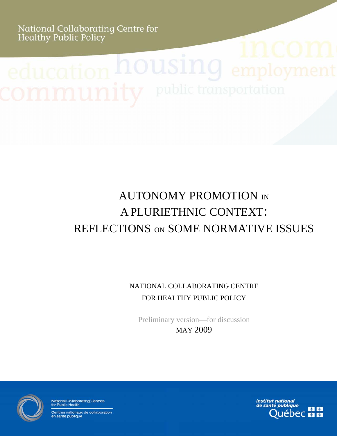National Collaborating Centre for<br>Healthy Public Policy

Autonomy promotion in a pluriethnic

context: reflections on some normative issues

# AUTONOMY PROMOTION IN A PLURIETHNIC CONTEXT: REFLECTIONS ON SOME NORMATIVE ISSUES

NATIONAL COLLABORATING CENTRE FOR HEALTHY PUBLIC POLICY

Preliminary version—for discussion MAY 2009



National Collaborating Centres<br>for Public Health

Centres nationaux de collaboration en santé publique

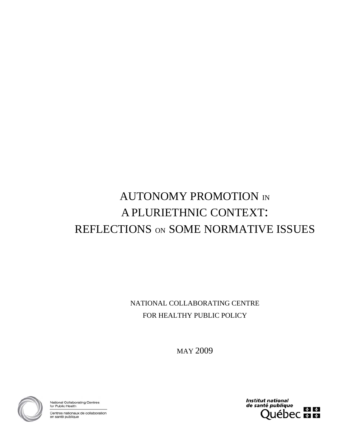# AUTONOMY PROMOTION IN A PLURIETHNIC CONTEXT: REFLECTIONS ON SOME NORMATIVE ISSUES

NATIONAL COLLABORATING CENTRE FOR HEALTHY PUBLIC POLICY

MAY 2009



National Collaborating Centres<br>for Public Health

Centres nationaux de collaboration en santé publique

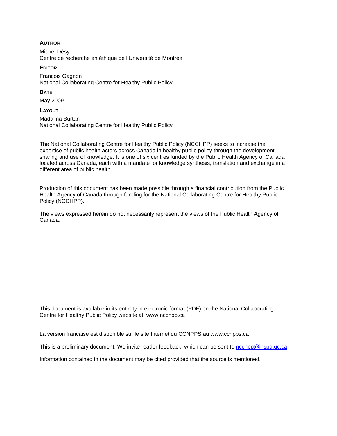#### **AUTHOR**

Michel Désy Centre de recherche en éthique de l'Université de Montréal

#### **EDITOR**

François Gagnon National Collaborating Centre for Healthy Public Policy

#### **DATE**

May 2009

#### **LAYOUT**

Madalina Burtan National Collaborating Centre for Healthy Public Policy

The National Collaborating Centre for Healthy Public Policy (NCCHPP) seeks to increase the expertise of public health actors across Canada in healthy public policy through the development, sharing and use of knowledge. It is one of six centres funded by the Public Health Agency of Canada located across Canada, each with a mandate for knowledge synthesis, translation and exchange in a different area of public health.

Production of this document has been made possible through a financial contribution from the Public Health Agency of Canada through funding for the National Collaborating Centre for Healthy Public Policy (NCCHPP).

The views expressed herein do not necessarily represent the views of the Public Health Agency of Canada.

This document is available in its entirety in electronic format (PDF) on the National Collaborating Centre for Healthy Public Policy website at: [www.ncchpp.ca](http://www.ncchpp.ca/) 

La version française est disponible sur le site Internet du CCNPPS au www.ccnpps.ca

This is a preliminary document. We invite reader feedback, which can be sent to [ncchpp@inspq.qc,ca](mailto:ncchpp@inspq.qc,ca)

Information contained in the document may be cited provided that the source is mentioned.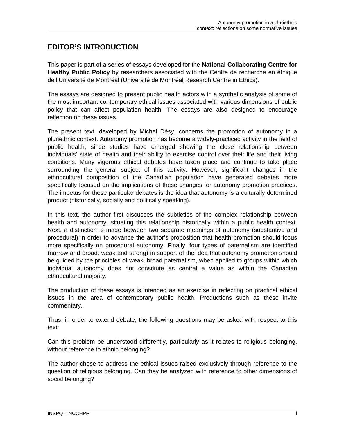#### **EDITOR'S INTRODUCTION**

This paper is part of a series of essays developed for the **National Collaborating Centre for Healthy Public Policy** by researchers associated with the Centre de recherche en éthique de l'Université de Montréal (Université de Montréal Research Centre in Ethics).

The essays are designed to present public health actors with a synthetic analysis of some of the most important contemporary ethical issues associated with various dimensions of public policy that can affect population health. The essays are also designed to encourage reflection on these issues.

The present text, developed by Michel Désy, concerns the promotion of autonomy in a pluriethnic context. Autonomy promotion has become a widely-practiced activity in the field of public health, since studies have emerged showing the close relationship between individuals' state of health and their ability to exercise control over their life and their living conditions. Many vigorous ethical debates have taken place and continue to take place surrounding the general subject of this activity. However, significant changes in the ethnocultural composition of the Canadian population have generated debates more specifically focused on the implications of these changes for autonomy promotion practices. The impetus for these particular debates is the idea that autonomy is a culturally determined product (historically, socially and politically speaking).

In this text, the author first discusses the subtleties of the complex relationship between health and autonomy, situating this relationship historically within a public health context. Next, a distinction is made between two separate meanings of autonomy (substantive and procedural) in order to advance the author's proposition that health promotion should focus more specifically on procedural autonomy. Finally, four types of paternalism are identified (narrow and broad; weak and strong) in support of the idea that autonomy promotion should be guided by the principles of weak, broad paternalism, when applied to groups within which individual autonomy does not constitute as central a value as within the Canadian ethnocultural majority.

The production of these essays is intended as an exercise in reflecting on practical ethical issues in the area of contemporary public health. Productions such as these invite commentary.

Thus, in order to extend debate, the following questions may be asked with respect to this text:

Can this problem be understood differently, particularly as it relates to religious belonging, without reference to ethnic belonging?

The author chose to address the ethical issues raised exclusively through reference to the question of religious belonging. Can they be analyzed with reference to other dimensions of social belonging?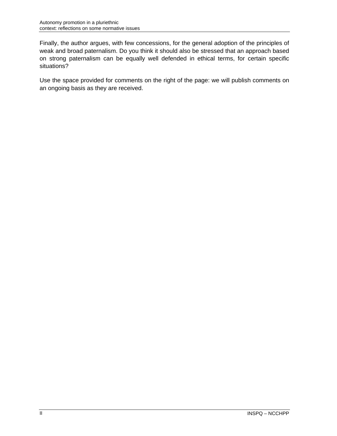Finally, the author argues, with few concessions, for the general adoption of the principles of weak and broad paternalism. Do you think it should also be stressed that an approach based on strong paternalism can be equally well defended in ethical terms, for certain specific situations?

Use the space provided for comments on the right of the page: we will publish comments on an ongoing basis as they are received.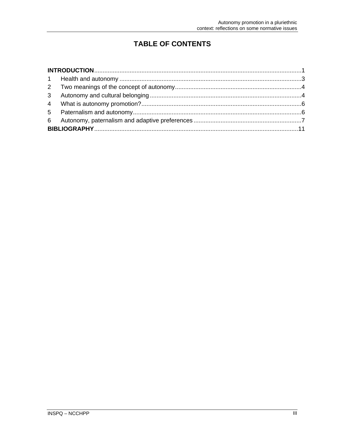# **TABLE OF CONTENTS**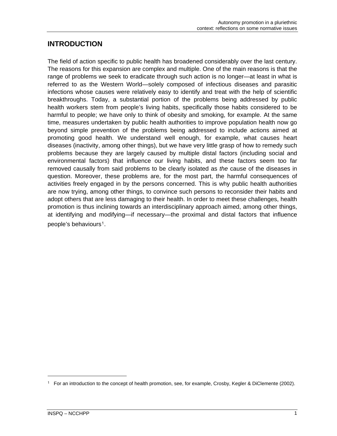#### <span id="page-8-0"></span>**INTRODUCTION**

The field of action specific to public health has broadened considerably over the last century. The reasons for this expansion are complex and multiple. One of the main reasons is that the range of problems we seek to eradicate through such action is no longer—at least in what is referred to as the Western World—solely composed of infectious diseases and parasitic infections whose causes were relatively easy to identify and treat with the help of scientific breakthroughs. Today, a substantial portion of the problems being addressed by public health workers stem from people's living habits, specifically those habits considered to be harmful to people; we have only to think of obesity and smoking, for example. At the same time, measures undertaken by public health authorities to improve population health now go beyond simple prevention of the problems being addressed to include actions aimed at promoting good health. We understand well enough, for example, what causes heart diseases (inactivity, among other things), but we have very little grasp of how to remedy such problems because they are largely caused by multiple distal factors (including social and environmental factors) that influence our living habits, and these factors seem too far removed causally from said problems to be clearly isolated as *the* cause of the diseases in question. Moreover, these problems are, for the most part, the harmful consequences of activities freely engaged in by the persons concerned. This is why public health authorities are now trying, among other things, to convince such persons to reconsider their habits and adopt others that are less damaging to their health. In order to meet these challenges, health promotion is thus inclining towards an interdisciplinary approach aimed, among other things, at identifying and modifying—if necessary—the proximal and distal factors that influence people's behaviours[1](#page-8-1).

1

<span id="page-8-1"></span><sup>1</sup> For an introduction to the concept of health promotion, see, for example, Crosby, Kegler & DiClemente (2002).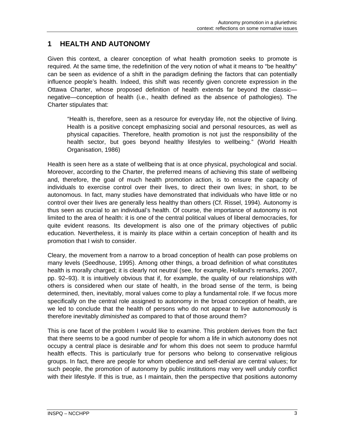#### <span id="page-10-0"></span>**1 HEALTH AND AUTONOMY**

Given this context, a clearer conception of what health promotion seeks to promote is required. At the same time, the redefinition of the very notion of what it means to "be healthy" can be seen as evidence of a shift in the paradigm defining the factors that can potentially influence people's health. Indeed, this shift was recently given concrete expression in the Ottawa Charter, whose proposed definition of health extends far beyond the classic negative—conception of health (i.e., health defined as the absence of pathologies). The Charter stipulates that:

"Health is, therefore, seen as a resource for everyday life, not the objective of living. Health is a positive concept emphasizing social and personal resources, as well as physical capacities. Therefore, health promotion is not just the responsibility of the health sector, but goes beyond healthy lifestyles to wellbeing." (World Health Organisation, 1986)

Health is seen here as a state of wellbeing that is at once physical, psychological and social. Moreover, according to the Charter, the preferred means of achieving this state of wellbeing and, therefore, the goal of much health promotion action, is to ensure the capacity of individuals to exercise control over their lives, to direct their own lives; in short, to be autonomous. In fact, many studies have demonstrated that individuals who have little or no control over their lives are generally less healthy than others (Cf. Rissel, 1994). Autonomy is thus seen as crucial to an individual's health. Of course, the importance of autonomy is not limited to the area of health: it is one of the central political values of liberal democracies, for quite evident reasons. Its development is also one of the primary objectives of public education. Nevertheless, it is mainly its place within a certain conception of health and its promotion that I wish to consider.

Cleary, the movement from a narrow to a broad conception of health can pose problems on many levels (Seedhouse, 1995). Among other things, a broad definition of what constitutes health is morally charged; it is clearly not neutral (see, for example, Holland's remarks, 2007, pp. 92–93). It is intuitively obvious that if, for example, the quality of our relationships with others is considered when our state of health, in the broad sense of the term, is being determined, then, inevitably, moral values come to play a fundamental role. If we focus more specifically on the central role assigned to autonomy in the broad conception of health, are we led to conclude that the health of persons who do not appear to live autonomously is therefore inevitably *diminished* as compared to that of those around them?

This is one facet of the problem I would like to examine. This problem derives from the fact that there seems to be a good number of people for whom a life in which autonomy does not occupy a central place is desirable *and* for whom this does not seem to produce harmful health effects. This is particularly true for persons who belong to conservative religious groups. In fact, there are people for whom obedience and self-denial are central values; for such people, the promotion of autonomy by public institutions may very well unduly conflict with their lifestyle. If this is true, as I maintain, then the perspective that positions autonomy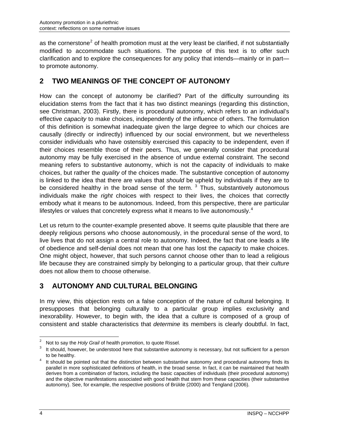<span id="page-11-0"></span>as the cornerstone<sup>[2](#page-11-1)</sup> of health promotion must at the very least be clarified, if not substantially modified to accommodate such situations. The purpose of this text is to offer such clarification and to explore the consequences for any policy that intends—mainly or in part to promote autonomy.

# **2 TWO MEANINGS OF THE CONCEPT OF AUTONOMY**

How can the concept of autonomy be clarified? Part of the difficulty surrounding its elucidation stems from the fact that it has two distinct meanings (regarding this distinction, see Christman, 2003). Firstly, there is procedural autonomy, which refers to an individual's effective *capacity* to make choices, independently of the influence of others. The formulation of this definition is somewhat inadequate given the large degree to which our choices are causally (directly or indirectly) influenced by our social environment, but we nevertheless consider individuals who have ostensibly exercised this capacity to be independent, even if their choices resemble those of their peers. Thus, we generally consider that procedural autonomy may be fully exercised in the absence of undue external constraint. The second meaning refers to substantive autonomy, which is not the capacity of individuals to make choices, but rather the *quality* of the choices made. The substantive conception of autonomy is linked to the idea that there are values that *should* be upheld by individuals if they are to be considered healthy in the broad sense of the term.  $3$  Thus, substantively autonomous individuals make the *right* choices with respect to their lives, the choices that correctly embody what it means to be autonomous. Indeed, from this perspective, there are particular lifestyles or values that concretely express what it means to live autonomously.<sup>[4](#page-11-3)</sup>

Let us return to the counter-example presented above. It seems quite plausible that there are deeply religious persons who choose autonomously, in the procedural sense of the word, to live lives that do not assign a central role to autonomy. Indeed, the fact that one leads a life of obedience and self-denial does not mean that one has lost the *capacity* to make choices. One might object, however, that such persons cannot choose other than to lead a religious life because they are constrained simply by belonging to a particular group, that their *culture* does not allow them to choose otherwise.

### **3 AUTONOMY AND CULTURAL BELONGING**

In my view, this objection rests on a false conception of the nature of cultural belonging. It presupposes that belonging culturally to a particular group implies exclusivity and inexorability. However, to begin with, the idea that a culture is composed of a group of consistent and stable characteristics that *determine* its members is clearly doubtful. In fact,

<span id="page-11-1"></span> $\frac{1}{2}$ <sup>2</sup> Not to say the *Holy Grail* of health promotion, to quote Rissel.

<span id="page-11-2"></span>It should, however, be understood here that substantive autonomy is necessary, but not sufficient for a person to be healthy.

<span id="page-11-3"></span>It should be pointed out that the distinction between substantive autonomy and procedural autonomy finds its parallel in more sophisticated definitions of health, in the broad sense. In fact, it can be maintained that health derives from a combination of factors, including the basic capacities of individuals (their procedural autonomy) and the objective manifestations associated with good health that stem from these capacities (their substantive autonomy). See, for example, the respective positions of Brülde (2000) and Tengland (2006).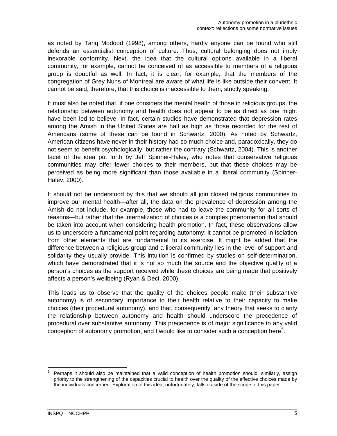as noted by Tariq Modood (1998), among others, hardly anyone can be found who still defends an essentialist conception of culture. Thus, cultural belonging does not imply inexorable conformity. Next, the idea that the cultural options available in a liberal community, for example, cannot be conceived of as accessible to members of a religious group is doubtful as well. In fact, it is clear, for example, that the members of the congregation of Grey Nuns of Montreal are aware of what life is like outside their convent. It cannot be said, therefore, that this choice is inaccessible to them, strictly speaking.

It must also be noted that, if one considers the mental health of those in religious groups, the relationship between autonomy and health does not appear to be as direct as one might have been led to believe. In fact, certain studies have demonstrated that depression rates among the Amish in the United States are half as high as those recorded for the rest of Americans (some of these can be found in Schwartz, 2000). As noted by Schwartz, American citizens have never in their history had so much choice and, paradoxically, they do not seem to benefit psychologically, but rather the contrary (Schwartz, 2004). This is another facet of the idea put forth by Jeff Spinner-Halev, who notes that conservative religious communities may offer fewer choices to their members, but that these choices may be perceived as being more significant than those available in a liberal community (Spinner-Halev, 2000).

It should not be understood by this that we should all join closed religious communities to improve our mental health—after all, the data on the prevalence of depression among the Amish do not include, for example, those who had to leave the community for all sorts of reasons—but rather that the internalization of choices is a complex phenomenon that should be taken into account when considering health promotion. In fact, these observations allow us to underscore a fundamental point regarding autonomy: it cannot be promoted in isolation from other elements that are fundamental to its exercise. It might be added that the difference between a religious group and a liberal community lies in the level of support and solidarity they usually provide. This intuition is confirmed by studies on self-determination, which have demonstrated that it is not so much the source and the objective quality of a person's choices as the support received while these choices are being made that positively affects a person's wellbeing (Ryan & Deci, 2000).

This leads us to observe that the quality of the choices people make (their substantive autonomy) is of secondary importance to their health relative to their capacity to make choices (their procedural autonomy), and that, consequently, any theory that seeks to clarify the relationship between autonomy and health should underscore the precedence of procedural over substantive autonomy. This precedence is of major significance to any valid conception of autonomy promotion, and I would like to consider such a conception here<sup>[5](#page-12-0)</sup>.

<span id="page-12-0"></span><sup>1</sup> 5 Perhaps it should also be maintained that a valid conception of health promotion should, similarly, assign priority to the strengthening of the capacities crucial to health over the quality of the effective choices made by the individuals concerned. Exploration of this idea, unfortunately, falls outside of the scope of this paper.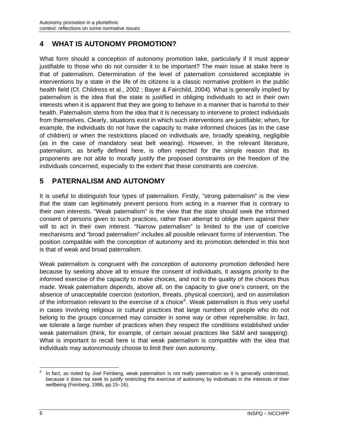# <span id="page-13-0"></span>**4 WHAT IS AUTONOMY PROMOTION?**

What form should a conception of autonomy promotion take, particularly if it must appear justifiable to those who do not consider it to be important? The main issue at stake here is that of paternalism. Determination of the level of paternalism considered acceptable in interventions by a state in the life of its citizens is a classic normative problem in the public health field (Cf. Childress et al., 2002 ; Bayer & Fairchild, 2004). What is generally implied by paternalism is the idea that the state is justified in obliging individuals to act in their own interests when it is apparent that they are going to behave in a manner that is harmful to their health. Paternalism stems from the idea that it is necessary to intervene to protect individuals from themselves. Clearly, situations exist in which such interventions are justifiable; when, for example, the individuals do not have the capacity to make informed choices (as in the case of children) or when the restrictions placed on individuals are, broadly speaking, negligible (as in the case of mandatory seat belt wearing). However, in the relevant literature, paternalism, as briefly defined here, is often rejected for the simple reason that its proponents are not able to morally justify the proposed constraints on the freedom of the individuals concerned, especially to the extent that these constraints are coercive.

## **5 PATERNALISM AND AUTONOMY**

It is useful to distinguish four types of paternalism. Firstly, "strong paternalism" is the view that the state can legitimately prevent persons from acting in a manner that is contrary to their own interests. "Weak paternalism" is the view that the state should seek the informed consent of persons given to such practices, rather than attempt to oblige them against their will to act in their own interest. "Narrow paternalism" is limited to the use of coercive mechanisms and "broad paternalism" includes all possible relevant forms of intervention. The position compatible with the conception of autonomy and its promotion defended in this text is that of weak and broad paternalism.

Weak paternalism is congruent with the conception of autonomy promotion defended here because by seeking above all to ensure the consent of individuals, it assigns priority to the informed exercise of the capacity to make choices, and not to the quality of the choices thus made. Weak paternalism depends, above all, on the capacity to give one's consent, on the absence of unacceptable coercion (extortion, threats, physical coercion), and on assimilation of the information relevant to the exercise of a choice<sup>[6](#page-13-1)</sup>. Weak paternalism is thus very useful in cases involving religious or cultural practices that large numbers of people who do not belong to the groups concerned may consider in some way or other reprehensible. In fact, we tolerate a large number of practices when they respect the conditions established under weak paternalism (think, for example, of certain sexual practices like S&M and swapping). What is important to recall here is that weak paternalism is compatible with the idea that individuals may autonomously choose to limit their own autonomy.

<span id="page-13-1"></span> $\overline{a}$ 6 In fact, as noted by Joel Feinberg, weak paternalism is not really paternalism as it is generally understood, because it does not seek to justify restricting the exercise of autonomy by individuals in the interests of their wellbeing (Feinberg, 1986, pp.15–16).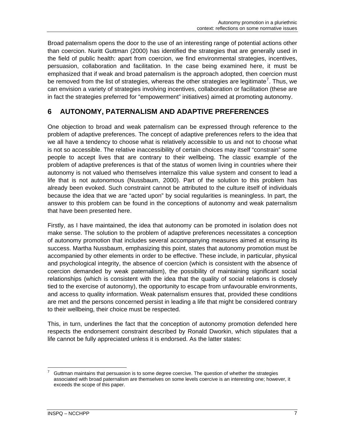<span id="page-14-0"></span>Broad paternalism opens the door to the use of an interesting range of potential actions other than coercion. Nuritt Guttman (2000) has identified the strategies that are generally used in the field of public health: apart from coercion, we find environmental strategies, incentives, persuasion, collaboration and facilitation. In the case being examined here, it must be emphasized that if weak and broad paternalism is the approach adopted, then coercion must be removed from the list of strategies, whereas the other strategies are legitimate<sup>[7](#page-14-1)</sup>. Thus, we can envision a variety of strategies involving incentives, collaboration or facilitation (these are in fact the strategies preferred for "empowerment" initiatives) aimed at promoting autonomy.

### **6 AUTONOMY, PATERNALISM AND ADAPTIVE PREFERENCES**

One objection to broad and weak paternalism can be expressed through reference to the problem of adaptive preferences. The concept of adaptive preferences refers to the idea that we all have a tendency to choose what is relatively accessible to us and not to choose what is not so accessible. The relative inaccessibility of certain choices may itself "constrain" some people to accept lives that are contrary to their wellbeing. The classic example of the problem of adaptive preferences is that of the status of women living in countries where their autonomy is not valued who themselves internalize this value system and consent to lead a life that is not autonomous (Nussbaum, 2000). Part of the solution to this problem has already been evoked. Such constraint cannot be attributed to the culture itself of individuals because the idea that we are "acted upon" by social regularities is meaningless. In part, the answer to this problem can be found in the conceptions of autonomy and weak paternalism that have been presented here.

Firstly, as I have maintained, the idea that autonomy can be promoted in isolation does not make sense. The solution to the problem of adaptive preferences necessitates a conception of autonomy promotion that includes several accompanying measures aimed at ensuring its success. Martha Nussbaum, emphasizing this point, states that autonomy promotion must be accompanied by other elements in order to be effective. These include, in particular, physical and psychological integrity, the absence of coercion (which is consistent with the absence of coercion demanded by weak paternalism), the possibility of maintaining significant social relationships (which is consistent with the idea that the quality of social relations is closely tied to the exercise of autonomy), the opportunity to escape from unfavourable environments, and access to quality information. Weak paternalism ensures that, provided these conditions are met and the persons concerned persist in leading a life that might be considered contrary to their wellbeing, their choice must be respected.

This, in turn, underlines the fact that the conception of autonomy promotion defended here respects the endorsement constraint described by Ronald Dworkin, which stipulates that a life cannot be fully appreciated unless it is endorsed. As the latter states:

<span id="page-14-1"></span><sup>1</sup> 7 Guttman maintains that persuasion is to some degree coercive. The question of whether the strategies associated with broad paternalism are themselves on some levels coercive is an interesting one; however, it exceeds the scope of this paper.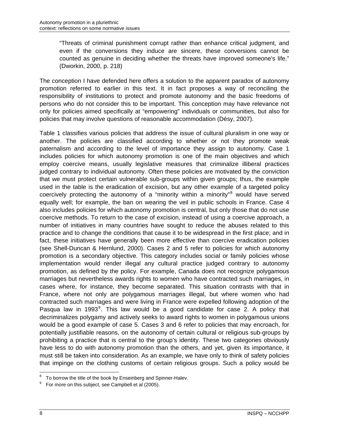"Threats of criminal punishment corrupt rather than enhance critical judgment, and even if the conversions they induce are sincere, these conversions cannot be counted as genuine in deciding whether the threats have improved someone's life." (Dworkin, 2000, p. 218)

The conception I have defended here offers a solution to the apparent paradox of autonomy promotion referred to earlier in this text. It in fact proposes a way of reconciling the responsibility of institutions to protect and promote autonomy and the basic freedoms of persons who do not consider this to be important. This conception may have relevance not only for policies aimed specifically at "empowering" individuals or communities, but also for policies that may involve questions of reasonable accommodation (Désy, 2007).

Table 1 classifies various policies that address the issue of cultural pluralism in one way or another. The policies are classified according to whether or not they promote weak paternalism and according to the level of importance they assign to autonomy. Case 1 includes policies for which autonomy promotion is one of the main objectives and which employ coercive means, usually legislative measures that criminalize illiberal practices judged contrary to individual autonomy. Often these policies are motivated by the conviction that we must protect certain vulnerable sub-groups within given groups; thus, the example used in the table is the eradication of excision, but any other example of a targeted policy coercively protecting the autonomy of a "minority within a minority"<sup>[8](#page-15-0)</sup> would have served equally well; for example, the ban on wearing the veil in public schools in France. Case 4 also includes policies for which autonomy promotion is central, but only those that do not use coercive methods. To return to the case of excision, instead of using a coercive approach, a number of initiatives in many countries have sought to reduce the abuses related to this practice and to change the conditions that cause it to be widespread in the first place; and in fact, these initiatives have generally been more effective than coercive eradication policies (see Shell-Duncan & Hernlund, 2000). Cases 2 and 5 refer to policies for which autonomy promotion is a secondary objective. This category includes social or family policies whose implementation would render illegal any cultural practice judged contrary to autonomy promotion, as defined by the policy. For example, Canada does not recognize polygamous marriages but nevertheless awards rights to women who have contracted such marriages, in cases where, for instance, they become separated. This situation contrasts with that in France, where not only are polygamous marriages illegal, but where women who had contracted such marriages and were living in France were expelled following adoption of the Pasqua law in 1[9](#page-15-1)93 $^9$ . This law would be a good candidate for case 2. A policy that decriminalizes polygamy and actively seeks to award rights to women in polygamous unions would be a good example of case 5. Cases 3 and 6 refer to policies that may encroach, for potentially justifiable reasons, on the autonomy of certain cultural or religious sub-groups by prohibiting a practice that is central to the group's identity. These two categories obviously have less to do with autonomy promotion than the others, and yet, given its importance, it must still be taken into consideration. As an example, we have only to think of safety policies that impinge on the clothing customs of certain religious groups. Such a policy would be

<span id="page-15-0"></span> $\overline{a}$  $8<sup>8</sup>$  To borrow the title of the book by Enseinberg and Spinner-Halev.

<span id="page-15-1"></span><sup>9</sup> For more on this subject, see Campbell et al (2005).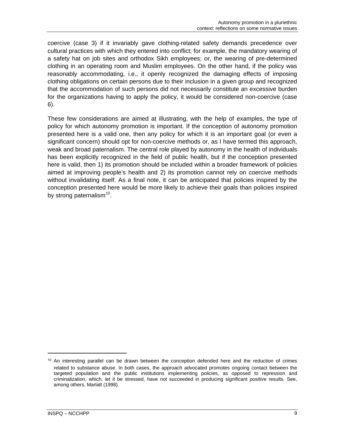coercive (case 3) if it invariably gave clothing-related safety demands precedence over cultural practices with which they entered into conflict; for example, the mandatory wearing of a safety hat on job sites and orthodox Sikh employees; or, the wearing of pre-determined clothing in an operating room and Muslim employees. On the other hand, if the policy was reasonably accommodating, i.e., it openly recognized the damaging effects of imposing clothing obligations on certain persons due to their inclusion in a given group and recognized that the accommodation of such persons did not necessarily constitute an excessive burden for the organizations having to apply the policy, it would be considered non-coercive (case 6).

These few considerations are aimed at illustrating, with the help of examples, the type of policy for which autonomy promotion is important. If the conception of autonomy promotion presented here is a valid one, then any policy for which it is an important goal (or even a significant concern) should opt for non-coercive methods or, as I have termed this approach, weak and broad paternalism. The central role played by autonomy in the health of individuals has been explicitly recognized in the field of public health, but if the conception presented here is valid, then 1) its promotion should be included within a broader framework of policies aimed at improving people's health and 2) its promotion cannot rely on coercive methods without invalidating itself. As a final note, it can be anticipated that policies inspired by the conception presented here would be more likely to achieve their goals than policies inspired by strong paternalism $10$ .

1

<span id="page-16-0"></span><sup>&</sup>lt;sup>10</sup> An interesting parallel can be drawn between the conception defended here and the reduction of crimes related to substance abuse. In both cases, the approach advocated promotes ongoing contact between the targeted population and the public institutions implementing policies, as opposed to repression and criminalization, which, let it be stressed, have not succeeded in producing significant positive results. See, among others, Marlatt (1998).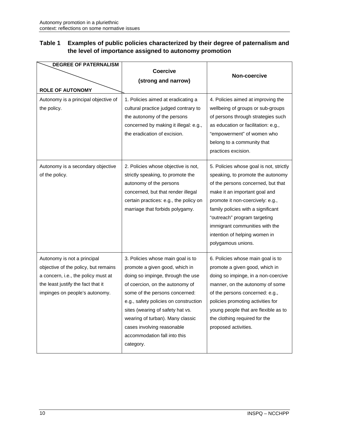#### **Table 1 Examples of public policies characterized by their degree of paternalism and the level of importance assigned to autonomy promotion**

| <b>DEGREE OF PATERNALISM</b>                                                                                                                                                       |                                                                                                                                                                                                                                                                                                                                                                           |                                                                                                                                                                                                                                                                                                                                                        |
|------------------------------------------------------------------------------------------------------------------------------------------------------------------------------------|---------------------------------------------------------------------------------------------------------------------------------------------------------------------------------------------------------------------------------------------------------------------------------------------------------------------------------------------------------------------------|--------------------------------------------------------------------------------------------------------------------------------------------------------------------------------------------------------------------------------------------------------------------------------------------------------------------------------------------------------|
|                                                                                                                                                                                    | <b>Coercive</b>                                                                                                                                                                                                                                                                                                                                                           | Non-coercive                                                                                                                                                                                                                                                                                                                                           |
|                                                                                                                                                                                    | (strong and narrow)                                                                                                                                                                                                                                                                                                                                                       |                                                                                                                                                                                                                                                                                                                                                        |
| <b>ROLE OF AUTONOMY</b>                                                                                                                                                            |                                                                                                                                                                                                                                                                                                                                                                           |                                                                                                                                                                                                                                                                                                                                                        |
| Autonomy is a principal objective of<br>the policy.                                                                                                                                | 1. Policies aimed at eradicating a<br>cultural practice judged contrary to<br>the autonomy of the persons<br>concerned by making it illegal: e.g.,<br>the eradication of excision.                                                                                                                                                                                        | 4. Policies aimed at improving the<br>wellbeing of groups or sub-groups<br>of persons through strategies such<br>as education or facilitation: e.g.,<br>"empowerment" of women who<br>belong to a community that<br>practices excision.                                                                                                                |
| Autonomy is a secondary objective<br>of the policy.                                                                                                                                | 2. Policies whose objective is not,<br>strictly speaking, to promote the<br>autonomy of the persons<br>concerned, but that render illegal<br>certain practices: e.g., the policy on<br>marriage that forbids polygamy.                                                                                                                                                    | 5. Policies whose goal is not, strictly<br>speaking, to promote the autonomy<br>of the persons concerned, but that<br>make it an important goal and<br>promote it non-coercively: e.g.,<br>family policies with a significant<br>"outreach" program targeting<br>immigrant communities with the<br>intention of helping women in<br>polygamous unions. |
| Autonomy is not a principal<br>objective of the policy, but remains<br>a concern, i.e., the policy must at<br>the least justify the fact that it<br>impinges on people's autonomy. | 3. Policies whose main goal is to<br>promote a given good, which in<br>doing so impinge, through the use<br>of coercion, on the autonomy of<br>some of the persons concerned:<br>e.g., safety policies on construction<br>sites (wearing of safety hat vs.<br>wearing of turban). Many classic<br>cases involving reasonable<br>accommodation fall into this<br>category. | 6. Policies whose main goal is to<br>promote a given good, which in<br>doing so impinge, in a non-coercive<br>manner, on the autonomy of some<br>of the persons concerned: e.g.,<br>policies promoting activities for<br>young people that are flexible as to<br>the clothing required for the<br>proposed activities.                                 |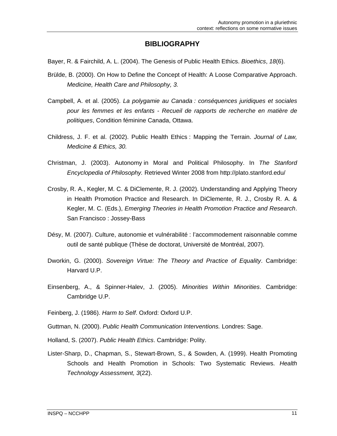#### **BIBLIOGRAPHY**

- <span id="page-18-0"></span>Bayer, R. & Fairchild, A. L. (2004). The Genesis of Public Health Ethics. *Bioethics*, *18*(6).
- Brülde, B. (2000). On How to Define the Concept of Health: A Loose Comparative Approach. *Medicine, Health Care and Philosophy, 3.*
- Campbell, A. et al. (2005). *La polygamie au Canada : conséquences juridiques et sociales pour les femmes et les enfants - Recueil de rapports de recherche en matière de politiques*, Condition féminine Canada, Ottawa.
- Childress, J. F. et al. (2002). Public Health Ethics : Mapping the Terrain. *Journal of Law, Medicine & Ethics, 30.*
- Christman, J. (2003). Autonomy in Moral and Political Philosophy. In *The Stanford Encyclopedia of Philosophy.* Retrieved Winter 2008 from http://plato.stanford.edu/
- Crosby, R. A., Kegler, M. C. & DiClemente, R. J. (2002). Understanding and Applying Theory in Health Promotion Practice and Research. In DiClemente, R. J., Crosby R. A. & Kegler, M. C. (Eds.), *Emerging Theories in Health Promotion Practice and Research*. San Francisco : Jossey-Bass
- Désy, M. (2007). Culture, autonomie et vulnérabilité : l'accommodement raisonnable comme outil de santé publique (Thèse de doctorat, Université de Montréal, 2007).
- Dworkin, G. (2000). *Sovereign Virtue: The Theory and Practice of Equality*. Cambridge: Harvard U.P.
- Einsenberg, A., & Spinner-Halev, J. (2005). *Minorities Within Minorities*. Cambridge: Cambridge U.P.
- Feinberg, J. (1986). *Harm to Self*. Oxford: Oxford U.P.
- Guttman, N. (2000). *Public Health Communication Interventions.* Londres: Sage.
- Holland, S. (2007). *Public Health Ethics*. Cambridge: Polity.
- Lister-Sharp, D., Chapman, S., Stewart-Brown, S., & Sowden, A. (1999). Health Promoting Schools and Health Promotion in Schools: Two Systematic Reviews. *Health Technology Assessment, 3*(22).